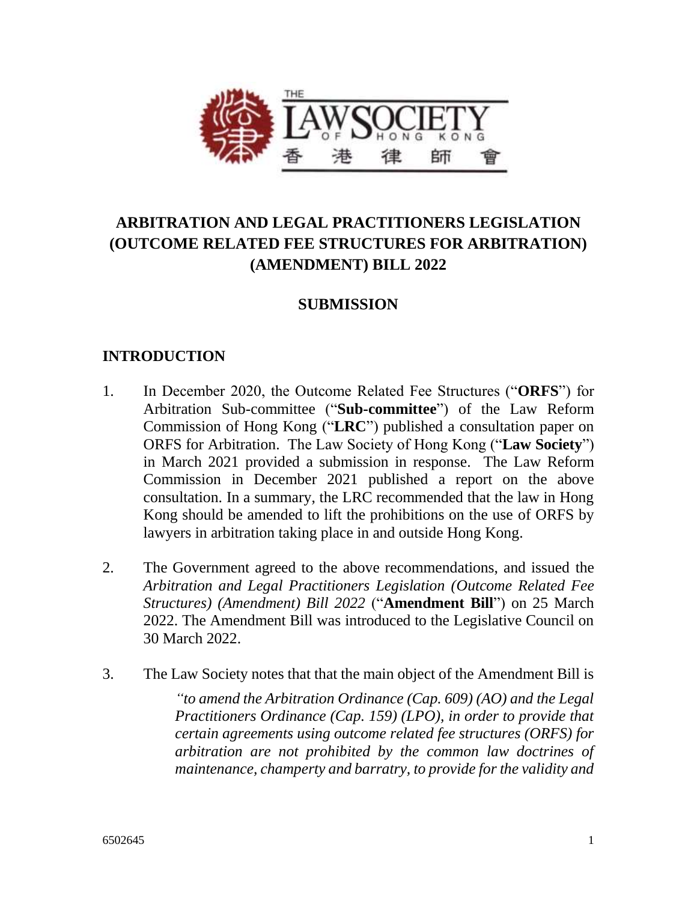

# **ARBITRATION AND LEGAL PRACTITIONERS LEGISLATION (OUTCOME RELATED FEE STRUCTURES FOR ARBITRATION) (AMENDMENT) BILL 2022**

### **SUBMISSION**

#### **INTRODUCTION**

- 1. In December 2020, the Outcome Related Fee Structures ("**ORFS**") for Arbitration Sub-committee ("**Sub-committee**") of the Law Reform Commission of Hong Kong ("**LRC**") published a consultation paper on ORFS for Arbitration. The Law Society of Hong Kong ("**Law Society**") in March 2021 provided a submission in response. The Law Reform Commission in December 2021 published a report on the above consultation. In a summary, the LRC recommended that the law in Hong Kong should be amended to lift the prohibitions on the use of ORFS by lawyers in arbitration taking place in and outside Hong Kong.
- 2. The Government agreed to the above recommendations, and issued the *Arbitration and Legal Practitioners Legislation (Outcome Related Fee Structures) (Amendment) Bill 2022* ("**Amendment Bill**") on 25 March 2022. The Amendment Bill was introduced to the Legislative Council on 30 March 2022.
- 3. The Law Society notes that that the main object of the Amendment Bill is

*"to amend the Arbitration Ordinance (Cap. 609) (AO) and the Legal Practitioners Ordinance (Cap. 159) (LPO), in order to provide that certain agreements using outcome related fee structures (ORFS) for arbitration are not prohibited by the common law doctrines of maintenance, champerty and barratry, to provide for the validity and*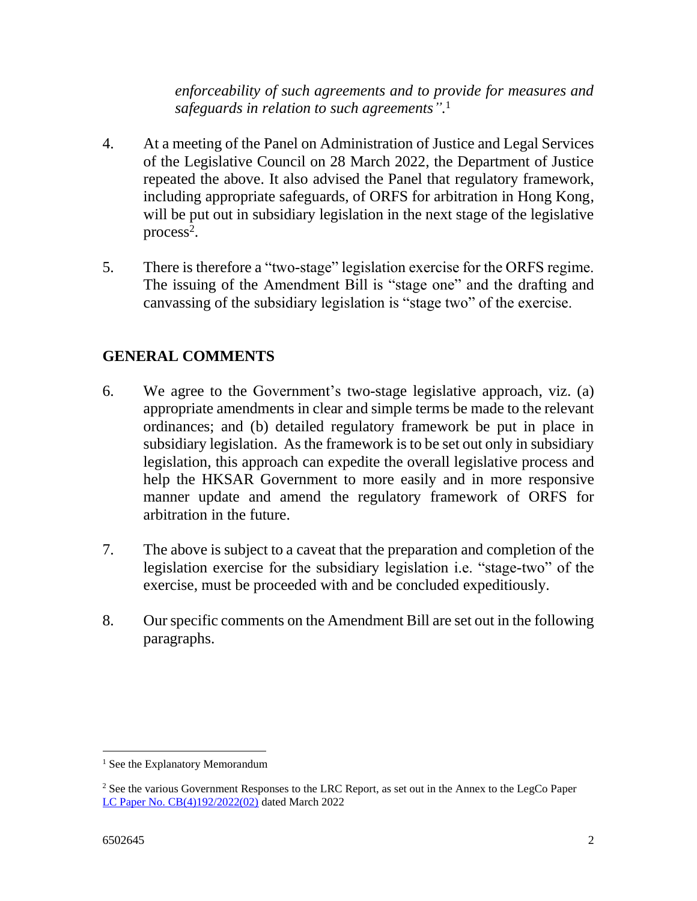*enforceability of such agreements and to provide for measures and safeguards in relation to such agreements".* 1

- 4. At a meeting of the Panel on Administration of Justice and Legal Services of the Legislative Council on 28 March 2022, the Department of Justice repeated the above. It also advised the Panel that regulatory framework, including appropriate safeguards, of ORFS for arbitration in Hong Kong, will be put out in subsidiary legislation in the next stage of the legislative  $process<sup>2</sup>$ .
- 5. There is therefore a "two-stage" legislation exercise for the ORFS regime. The issuing of the Amendment Bill is "stage one" and the drafting and canvassing of the subsidiary legislation is "stage two" of the exercise.

## **GENERAL COMMENTS**

- 6. We agree to the Government's two-stage legislative approach, viz. (a) appropriate amendments in clear and simple terms be made to the relevant ordinances; and (b) detailed regulatory framework be put in place in subsidiary legislation. As the framework is to be set out only in subsidiary legislation, this approach can expedite the overall legislative process and help the HKSAR Government to more easily and in more responsive manner update and amend the regulatory framework of ORFS for arbitration in the future.
- 7. The above is subject to a caveat that the preparation and completion of the legislation exercise for the subsidiary legislation i.e. "stage-two" of the exercise, must be proceeded with and be concluded expeditiously.
- 8. Our specific comments on the Amendment Bill are set out in the following paragraphs.

 $\overline{a}$ 

<sup>&</sup>lt;sup>1</sup> See the Explanatory Memorandum

<sup>&</sup>lt;sup>2</sup> See the various Government Responses to the LRC Report, as set out in the Annex to the LegCo Paper [LC Paper No. CB\(4\)192/2022\(02\)](https://www.legco.gov.hk/yr2022/english/panels/ajls/papers/ajls20220328cb4-192-2-e.pdf) dated March 2022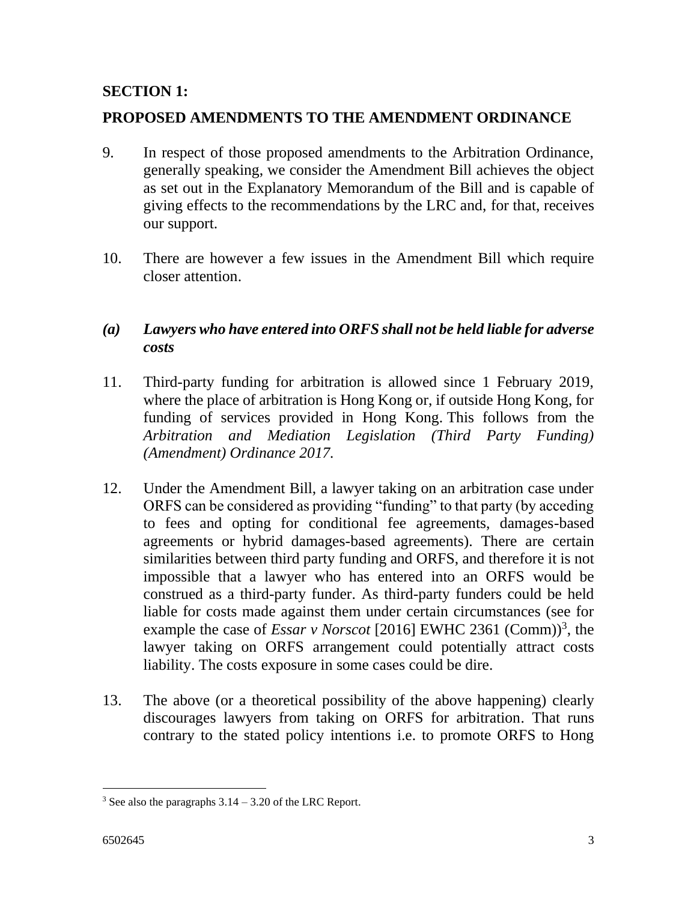### **SECTION 1:**

### **PROPOSED AMENDMENTS TO THE AMENDMENT ORDINANCE**

- 9. In respect of those proposed amendments to the Arbitration Ordinance, generally speaking, we consider the Amendment Bill achieves the object as set out in the Explanatory Memorandum of the Bill and is capable of giving effects to the recommendations by the LRC and, for that, receives our support.
- 10. There are however a few issues in the Amendment Bill which require closer attention.

### *(a) Lawyers who have entered into ORFS shall not be held liable for adverse costs*

- 11. Third-party funding for arbitration is allowed since 1 February 2019, where the place of arbitration is Hong Kong or, if outside Hong Kong, for funding of services provided in Hong Kong. This follows from the *Arbitration and Mediation Legislation (Third Party Funding) (Amendment) Ordinance 2017.*
- 12. Under the Amendment Bill, a lawyer taking on an arbitration case under ORFS can be considered as providing "funding" to that party (by acceding to fees and opting for conditional fee agreements, damages-based agreements or hybrid damages-based agreements). There are certain similarities between third party funding and ORFS, and therefore it is not impossible that a lawyer who has entered into an ORFS would be construed as a third-party funder. As third-party funders could be held liable for costs made against them under certain circumstances (see for example the case of *Essar v Norscot* [2016] EWHC 2361 (Comm)<sup>3</sup>, the lawyer taking on ORFS arrangement could potentially attract costs liability. The costs exposure in some cases could be dire.
- 13. The above (or a theoretical possibility of the above happening) clearly discourages lawyers from taking on ORFS for arbitration. That runs contrary to the stated policy intentions i.e. to promote ORFS to Hong

 $\overline{a}$  $3$  See also the paragraphs  $3.14 - 3.20$  of the LRC Report.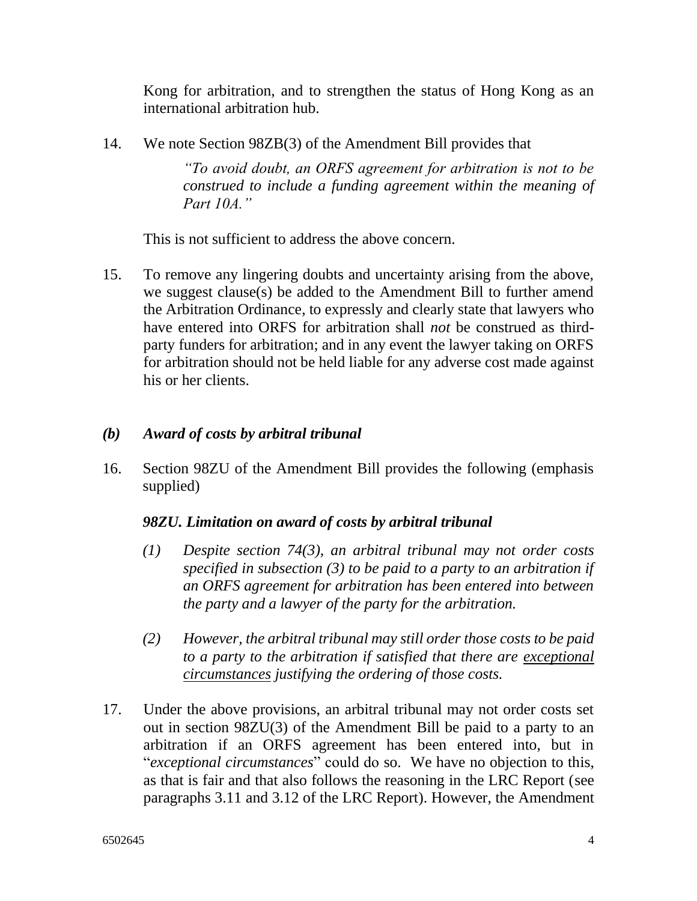Kong for arbitration, and to strengthen the status of Hong Kong as an international arbitration hub.

14. We note Section 98ZB(3) of the Amendment Bill provides that

*"To avoid doubt, an ORFS agreement for arbitration is not to be construed to include a funding agreement within the meaning of Part 10A."* 

This is not sufficient to address the above concern.

15. To remove any lingering doubts and uncertainty arising from the above, we suggest clause(s) be added to the Amendment Bill to further amend the Arbitration Ordinance, to expressly and clearly state that lawyers who have entered into ORFS for arbitration shall *not* be construed as thirdparty funders for arbitration; and in any event the lawyer taking on ORFS for arbitration should not be held liable for any adverse cost made against his or her clients.

#### *(b) Award of costs by arbitral tribunal*

16. Section 98ZU of the Amendment Bill provides the following (emphasis supplied)

#### *98ZU. Limitation on award of costs by arbitral tribunal*

- *(1) Despite section 74(3), an arbitral tribunal may not order costs specified in subsection (3) to be paid to a party to an arbitration if an ORFS agreement for arbitration has been entered into between the party and a lawyer of the party for the arbitration.*
- *(2) However, the arbitral tribunal may still order those costs to be paid to a party to the arbitration if satisfied that there are exceptional circumstances justifying the ordering of those costs.*
- 17. Under the above provisions, an arbitral tribunal may not order costs set out in section 98ZU(3) of the Amendment Bill be paid to a party to an arbitration if an ORFS agreement has been entered into, but in "*exceptional circumstances*" could do so. We have no objection to this, as that is fair and that also follows the reasoning in the LRC Report (see paragraphs 3.11 and 3.12 of the LRC Report). However, the Amendment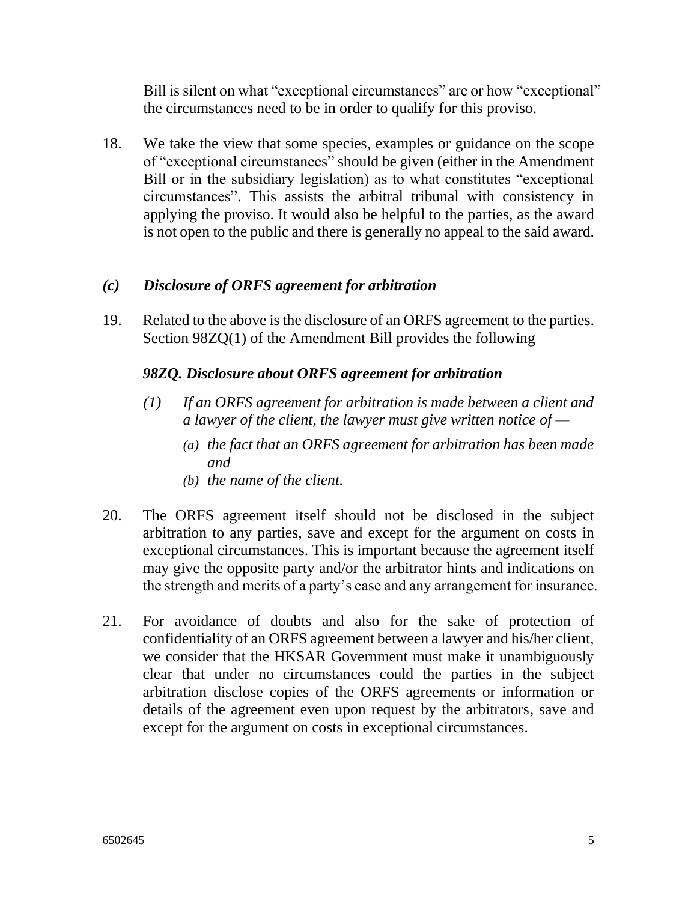Bill is silent on what "exceptional circumstances" are or how "exceptional" the circumstances need to be in order to qualify for this proviso.

18. We take the view that some species, examples or guidance on the scope of "exceptional circumstances" should be given (either in the Amendment Bill or in the subsidiary legislation) as to what constitutes "exceptional circumstances". This assists the arbitral tribunal with consistency in applying the proviso. It would also be helpful to the parties, as the award is not open to the public and there is generally no appeal to the said award.

### *(c) Disclosure of ORFS agreement for arbitration*

19. Related to the above is the disclosure of an ORFS agreement to the parties. Section 98ZQ(1) of the Amendment Bill provides the following

### *98ZQ. Disclosure about ORFS agreement for arbitration*

- *(1) If an ORFS agreement for arbitration is made between a client and a lawyer of the client, the lawyer must give written notice of —*
	- *(a) the fact that an ORFS agreement for arbitration has been made and*
	- *(b) the name of the client.*
- 20. The ORFS agreement itself should not be disclosed in the subject arbitration to any parties, save and except for the argument on costs in exceptional circumstances. This is important because the agreement itself may give the opposite party and/or the arbitrator hints and indications on the strength and merits of a party's case and any arrangement for insurance.
- 21. For avoidance of doubts and also for the sake of protection of confidentiality of an ORFS agreement between a lawyer and his/her client, we consider that the HKSAR Government must make it unambiguously clear that under no circumstances could the parties in the subject arbitration disclose copies of the ORFS agreements or information or details of the agreement even upon request by the arbitrators, save and except for the argument on costs in exceptional circumstances.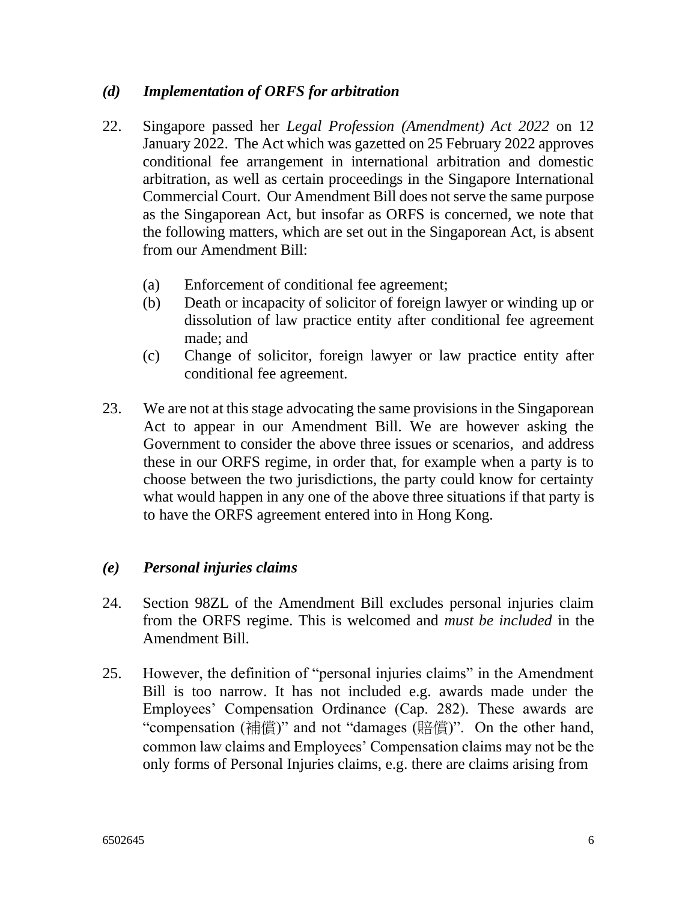#### *(d) Implementation of ORFS for arbitration*

- 22. Singapore passed her *Legal Profession (Amendment) Act 2022* on 12 January 2022. The Act which was gazetted on 25 February 2022 approves conditional fee arrangement in international arbitration and domestic arbitration, as well as certain proceedings in the Singapore International Commercial Court. Our Amendment Bill does not serve the same purpose as the Singaporean Act, but insofar as ORFS is concerned, we note that the following matters, which are set out in the Singaporean Act, is absent from our Amendment Bill:
	- (a) Enforcement of conditional fee agreement;
	- (b) Death or incapacity of solicitor of foreign lawyer or winding up or dissolution of law practice entity after conditional fee agreement made; and
	- (c) Change of solicitor, foreign lawyer or law practice entity after conditional fee agreement.
- 23. We are not at this stage advocating the same provisions in the Singaporean Act to appear in our Amendment Bill. We are however asking the Government to consider the above three issues or scenarios, and address these in our ORFS regime, in order that, for example when a party is to choose between the two jurisdictions, the party could know for certainty what would happen in any one of the above three situations if that party is to have the ORFS agreement entered into in Hong Kong.

#### *(e) Personal injuries claims*

- 24. Section 98ZL of the Amendment Bill excludes personal injuries claim from the ORFS regime. This is welcomed and *must be included* in the Amendment Bill.
- 25. However, the definition of "personal injuries claims" in the Amendment Bill is too narrow. It has not included e.g. awards made under the Employees' Compensation Ordinance (Cap. 282). These awards are "compensation (補償)" and not "damages (賠償)". On the other hand, common law claims and Employees' Compensation claims may not be the only forms of Personal Injuries claims, e.g. there are claims arising from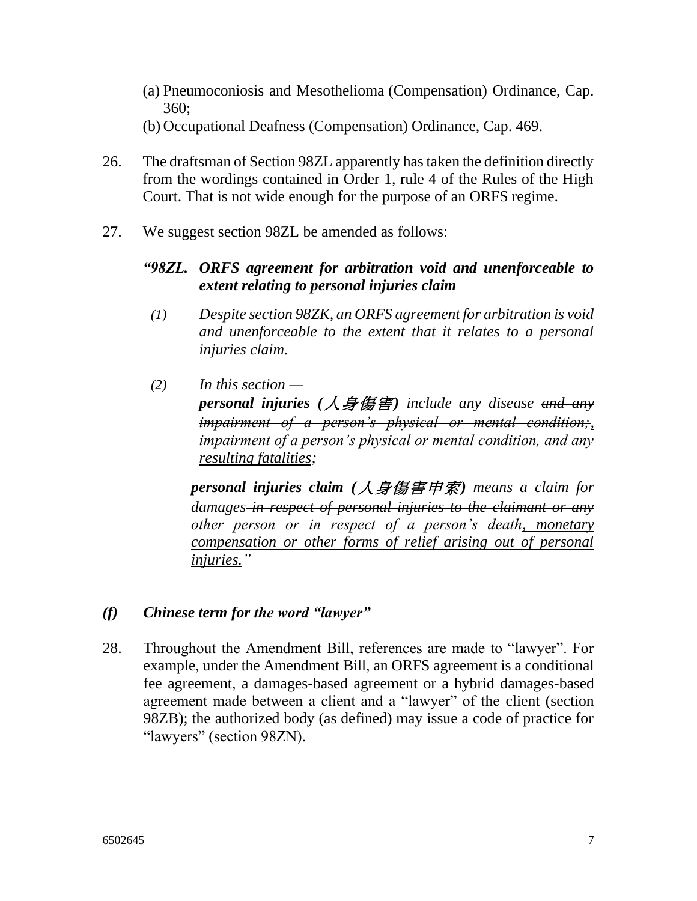- (a) Pneumoconiosis and Mesothelioma (Compensation) Ordinance, Cap. 360;
- (b) Occupational Deafness (Compensation) Ordinance, Cap. 469.
- 26. The draftsman of Section 98ZL apparently has taken the definition directly from the wordings contained in Order 1, rule 4 of the Rules of the High Court. That is not wide enough for the purpose of an ORFS regime.
- 27. We suggest section 98ZL be amended as follows:

### *"98ZL. ORFS agreement for arbitration void and unenforceable to extent relating to personal injuries claim*

- *(1) Despite section 98ZK, an ORFS agreement for arbitration is void and unenforceable to the extent that it relates to a personal injuries claim.*
- *(2) In this section personal injuries (*人身傷害*) include any disease and any impairment of a person's physical or mental condition;, impairment of a person's physical or mental condition, and any resulting fatalities;*

*personal injuries claim (*人身傷害申索*) means a claim for damages in respect of personal injuries to the claimant or any other person or in respect of a person's death, monetary compensation or other forms of relief arising out of personal injuries."* 

- *(f) Chinese term for the word "lawyer"*
- 28. Throughout the Amendment Bill, references are made to "lawyer". For example, under the Amendment Bill, an ORFS agreement is a conditional fee agreement, a damages-based agreement or a hybrid damages-based agreement made between a client and a "lawyer" of the client (section 98ZB); the authorized body (as defined) may issue a code of practice for "lawyers" (section 98ZN).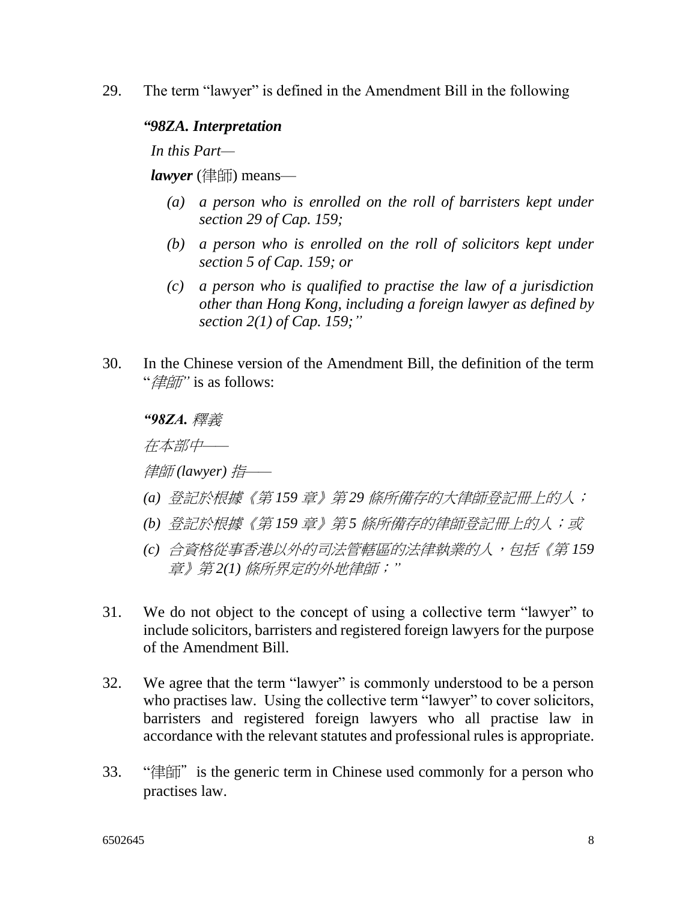29. The term "lawyer" is defined in the Amendment Bill in the following

#### *"98ZA. Interpretation*

*In this Part—*

*lawyer* (律師) means—

- *(a) a person who is enrolled on the roll of barristers kept under section 29 of Cap. 159;*
- *(b) a person who is enrolled on the roll of solicitors kept under section 5 of Cap. 159; or*
- *(c) a person who is qualified to practise the law of a jurisdiction other than Hong Kong, including a foreign lawyer as defined by section 2(1) of Cap. 159;"*
- 30. In the Chinese version of the Amendment Bill, the definition of the term "律師*"* is as follows:

*"98ZA.* 釋義

在本部中*——*

律師 *(lawyer)* 指*——*

- *(a)* 登記於根據《第 *159* 章》第 *29* 條所備存的大律師登記冊上的人;
- *(b)* 登記於根據《第 *159* 章》第 *5* 條所備存的律師登記冊上的人;或
- *(c)* 合資格從事香港以外的司法管轄區的法律執業的人,包括《第 *159*  章》第 *2(1)* 條所界定的外地律師;*"*
- 31. We do not object to the concept of using a collective term "lawyer" to include solicitors, barristers and registered foreign lawyers for the purpose of the Amendment Bill.
- 32. We agree that the term "lawyer" is commonly understood to be a person who practises law. Using the collective term "lawyer" to cover solicitors, barristers and registered foreign lawyers who all practise law in accordance with the relevant statutes and professional rules is appropriate.
- 33. "律師"is the generic term in Chinese used commonly for a person who practises law.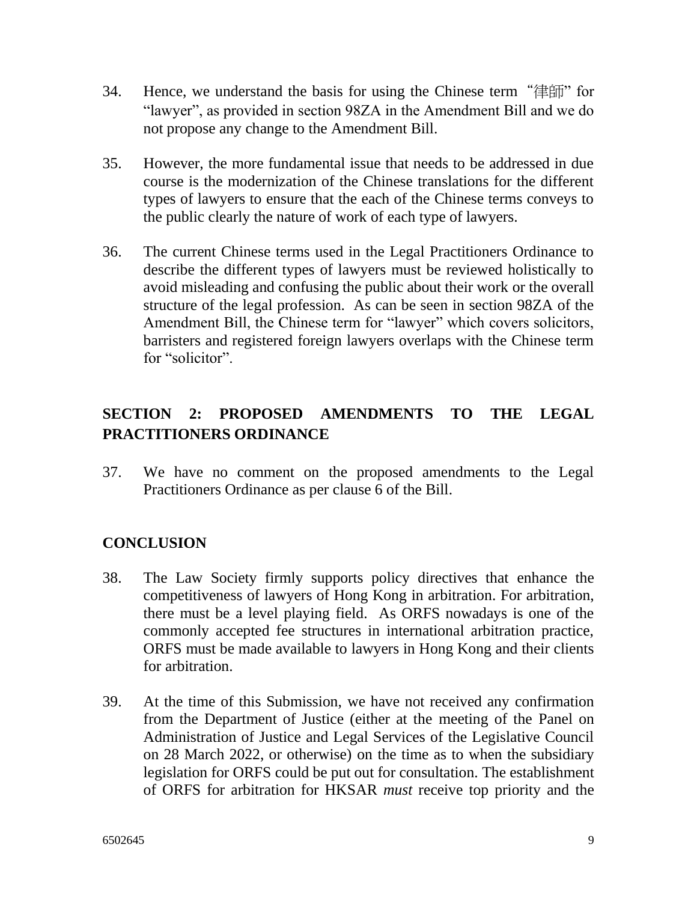- 34. Hence, we understand the basis for using the Chinese term "律師" for "lawyer", as provided in section 98ZA in the Amendment Bill and we do not propose any change to the Amendment Bill.
- 35. However, the more fundamental issue that needs to be addressed in due course is the modernization of the Chinese translations for the different types of lawyers to ensure that the each of the Chinese terms conveys to the public clearly the nature of work of each type of lawyers.
- 36. The current Chinese terms used in the Legal Practitioners Ordinance to describe the different types of lawyers must be reviewed holistically to avoid misleading and confusing the public about their work or the overall structure of the legal profession. As can be seen in section 98ZA of the Amendment Bill, the Chinese term for "lawyer" which covers solicitors, barristers and registered foreign lawyers overlaps with the Chinese term for "solicitor".

# **SECTION 2: PROPOSED AMENDMENTS TO THE LEGAL PRACTITIONERS ORDINANCE**

37. We have no comment on the proposed amendments to the Legal Practitioners Ordinance as per clause 6 of the Bill.

## **CONCLUSION**

- 38. The Law Society firmly supports policy directives that enhance the competitiveness of lawyers of Hong Kong in arbitration. For arbitration, there must be a level playing field. As ORFS nowadays is one of the commonly accepted fee structures in international arbitration practice, ORFS must be made available to lawyers in Hong Kong and their clients for arbitration.
- 39. At the time of this Submission, we have not received any confirmation from the Department of Justice (either at the meeting of the Panel on Administration of Justice and Legal Services of the Legislative Council on 28 March 2022, or otherwise) on the time as to when the subsidiary legislation for ORFS could be put out for consultation. The establishment of ORFS for arbitration for HKSAR *must* receive top priority and the